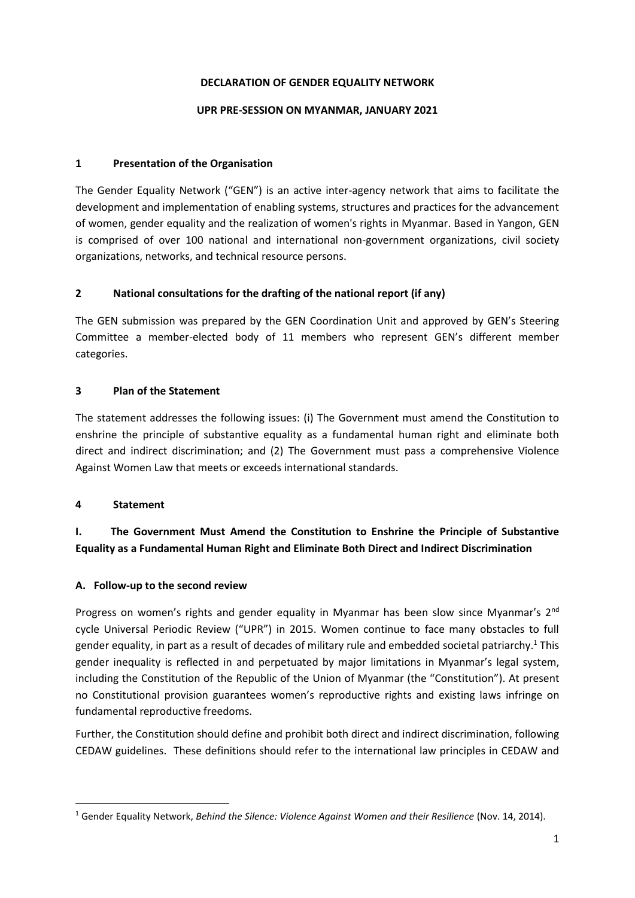#### **DECLARATION OF GENDER EQUALITY NETWORK**

#### **UPR PRE-SESSION ON MYANMAR, JANUARY 2021**

### **1 Presentation of the Organisation**

The Gender Equality Network ("GEN") is an active inter-agency network that aims to facilitate the development and implementation of enabling systems, structures and practices for the advancement of women, gender equality and the realization of women's rights in Myanmar. Based in Yangon, GEN is comprised of over 100 national and international non-government organizations, civil society organizations, networks, and technical resource persons.

## **2 National consultations for the drafting of the national report (if any)**

The GEN submission was prepared by the GEN Coordination Unit and approved by GEN's Steering Committee a member-elected body of 11 members who represent GEN's different member categories.

## **3 Plan of the Statement**

The statement addresses the following issues: (i) The Government must amend the Constitution to enshrine the principle of substantive equality as a fundamental human right and eliminate both direct and indirect discrimination; and (2) The Government must pass a comprehensive Violence Against Women Law that meets or exceeds international standards.

## **4 Statement**

# **I. The Government Must Amend the Constitution to Enshrine the Principle of Substantive Equality as a Fundamental Human Right and Eliminate Both Direct and Indirect Discrimination**

## **A. Follow-up to the second review**

Progress on women's rights and gender equality in Myanmar has been slow since Myanmar's  $2<sup>nd</sup>$ cycle Universal Periodic Review ("UPR") in 2015. Women continue to face many obstacles to full gender equality, in part as a result of decades of military rule and embedded societal patriarchy.<sup>1</sup> This gender inequality is reflected in and perpetuated by major limitations in Myanmar's legal system, including the Constitution of the Republic of the Union of Myanmar (the "Constitution"). At present no Constitutional provision guarantees women's reproductive rights and existing laws infringe on fundamental reproductive freedoms.

Further, the Constitution should define and prohibit both direct and indirect discrimination, following CEDAW guidelines. These definitions should refer to the international law principles in CEDAW and

<sup>1</sup> Gender Equality Network, *Behind the Silence: Violence Against Women and their Resilience* (Nov. 14, 2014).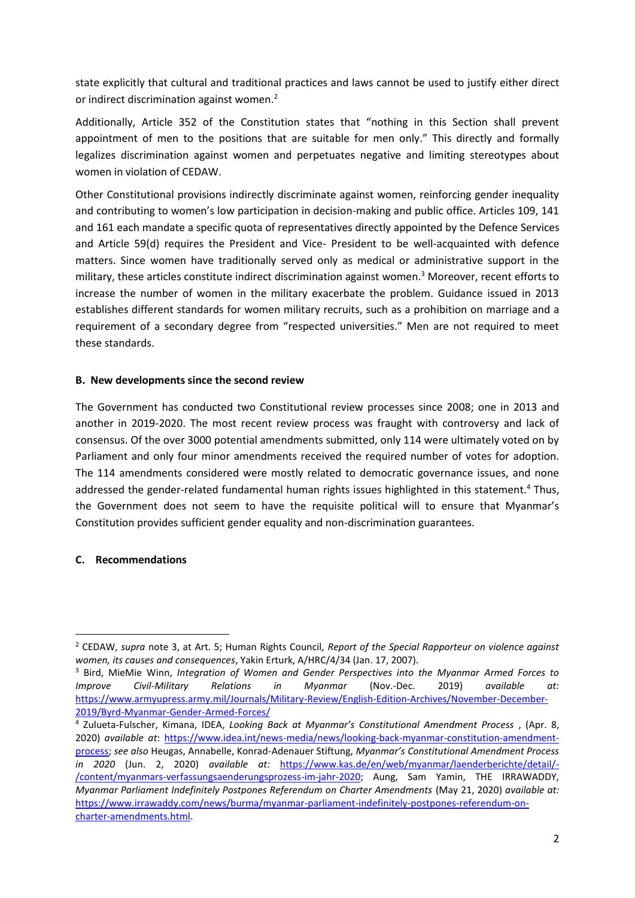state explicitly that cultural and traditional practices and laws cannot be used to justify either direct or indirect discrimination against women.<sup>2</sup>

Additionally, Article 352 of the Constitution states that "nothing in this Section shall prevent appointment of men to the positions that are suitable for men only." This directly and formally legalizes discrimination against women and perpetuates negative and limiting stereotypes about women in violation of CEDAW.

Other Constitutional provisions indirectly discriminate against women, reinforcing gender inequality and contributing to women's low participation in decision-making and public office. Articles 109, 141 and 161 each mandate a specific quota of representatives directly appointed by the Defence Services and Article 59(d) requires the President and Vice- President to be well-acquainted with defence matters. Since women have traditionally served only as medical or administrative support in the military, these articles constitute indirect discrimination against women.<sup>3</sup> Moreover, recent efforts to increase the number of women in the military exacerbate the problem. Guidance issued in 2013 establishes different standards for women military recruits, such as a prohibition on marriage and a requirement of a secondary degree from "respected universities." Men are not required to meet these standards.

#### **B. New developments since the second review**

The Government has conducted two Constitutional review processes since 2008; one in 2013 and another in 2019-2020. The most recent review process was fraught with controversy and lack of consensus. Of the over 3000 potential amendments submitted, only 114 were ultimately voted on by Parliament and only four minor amendments received the required number of votes for adoption. The 114 amendments considered were mostly related to democratic governance issues, and none addressed the gender-related fundamental human rights issues highlighted in this statement.<sup>4</sup> Thus, the Government does not seem to have the requisite political will to ensure that Myanmar's Constitution provides sufficient gender equality and non-discrimination guarantees.

## **C. Recommendations**

<sup>2</sup> CEDAW, *supra* note 3, at Art. 5; Human Rights Council, *Report of the Special Rapporteur on violence against women, its causes and consequences*, Yakin Erturk, A/HRC/4/34 (Jan. 17, 2007).

<sup>3</sup> Bird, MieMie Winn, *Integration of Women and Gender Perspectives into the Myanmar Armed Forces to Improve Civil-Military Relations in Myanmar* (Nov.-Dec. 2019) *available at:* [https://www.armyupress.army.mil/Journals/Military-Review/English-Edition-Archives/November-December-](https://www.armyupress.army.mil/Journals/Military-Review/English-Edition-Archives/November-December-2019/Byrd-Myanmar-Gender-Armed-Forces/)[2019/Byrd-Myanmar-Gender-Armed-Forces/](https://www.armyupress.army.mil/Journals/Military-Review/English-Edition-Archives/November-December-2019/Byrd-Myanmar-Gender-Armed-Forces/)

<sup>4</sup> Zulueta-Fulscher, Kimana, IDEA, *Looking Back at Myanmar's Constitutional Amendment Process* , (Apr. 8, 2020) *available at*: [https://www.idea.int/news-media/news/looking-back-myanmar-constitution-amendment](https://www.idea.int/news-media/news/looking-back-myanmar-constitution-amendment-process)[process;](https://www.idea.int/news-media/news/looking-back-myanmar-constitution-amendment-process) *see also* Heugas, Annabelle, Konrad-Adenauer Stiftung, *Myanmar's Constitutional Amendment Process in 2020* (Jun. 2, 2020) *available at:* [https://www.kas.de/en/web/myanmar/laenderberichte/detail/-](https://www.kas.de/en/web/myanmar/laenderberichte/detail/-/content/myanmars-verfassungsaenderungsprozess-im-jahr-2020) [/content/myanmars-verfassungsaenderungsprozess-im-jahr-2020;](https://www.kas.de/en/web/myanmar/laenderberichte/detail/-/content/myanmars-verfassungsaenderungsprozess-im-jahr-2020) Aung, Sam Yamin, THE IRRAWADDY, *Myanmar Parliament Indefinitely Postpones Referendum on Charter Amendments* (May 21, 2020) *available at:*  [https://www.irrawaddy.com/news/burma/myanmar-parliament-indefinitely-postpones-referendum-on](https://www.irrawaddy.com/news/burma/myanmar-parliament-indefinitely-postpones-referendum-on-charter-amendments.html)[charter-amendments.html.](https://www.irrawaddy.com/news/burma/myanmar-parliament-indefinitely-postpones-referendum-on-charter-amendments.html)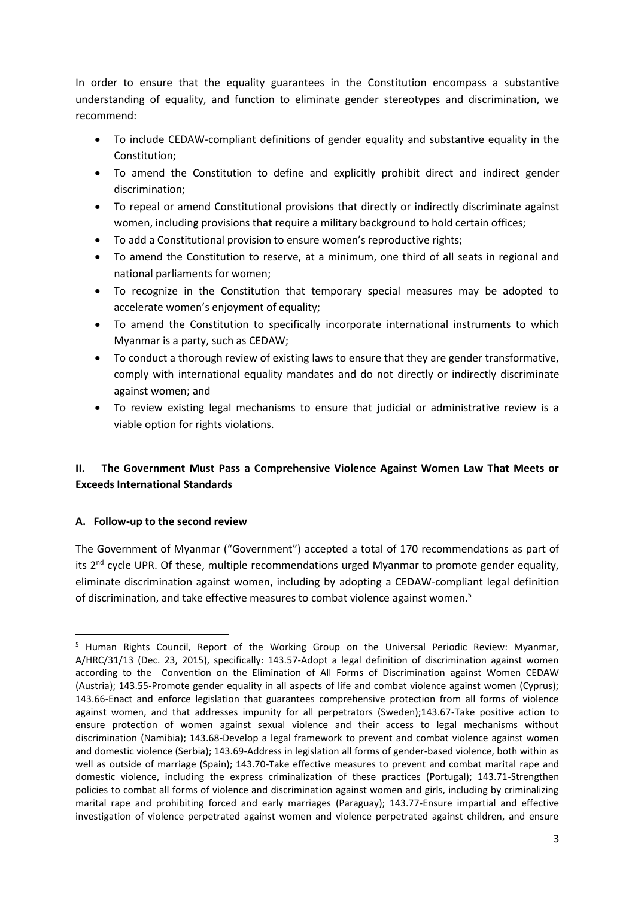In order to ensure that the equality guarantees in the Constitution encompass a substantive understanding of equality, and function to eliminate gender stereotypes and discrimination, we recommend:

- To include CEDAW-compliant definitions of gender equality and substantive equality in the Constitution;
- To amend the Constitution to define and explicitly prohibit direct and indirect gender discrimination;
- To repeal or amend Constitutional provisions that directly or indirectly discriminate against women, including provisions that require a military background to hold certain offices;
- To add a Constitutional provision to ensure women's reproductive rights;
- To amend the Constitution to reserve, at a minimum, one third of all seats in regional and national parliaments for women;
- To recognize in the Constitution that temporary special measures may be adopted to accelerate women's enjoyment of equality;
- To amend the Constitution to specifically incorporate international instruments to which Myanmar is a party, such as CEDAW;
- To conduct a thorough review of existing laws to ensure that they are gender transformative, comply with international equality mandates and do not directly or indirectly discriminate against women; and
- To review existing legal mechanisms to ensure that judicial or administrative review is a viable option for rights violations.

# **II. The Government Must Pass a Comprehensive Violence Against Women Law That Meets or Exceeds International Standards**

## **A. Follow-up to the second review**

The Government of Myanmar ("Government") accepted a total of 170 recommendations as part of its 2<sup>nd</sup> cycle UPR. Of these, multiple recommendations urged Myanmar to promote gender equality, eliminate discrimination against women, including by adopting a CEDAW-compliant legal definition of discrimination, and take effective measures to combat violence against women.<sup>5</sup>

<sup>5</sup> Human Rights Council, Report of the Working Group on the Universal Periodic Review: Myanmar, A/HRC/31/13 (Dec. 23, 2015), specifically: 143.57-Adopt a legal definition of discrimination against women according to the Convention on the Elimination of All Forms of Discrimination against Women CEDAW (Austria); 143.55-Promote gender equality in all aspects of life and combat violence against women (Cyprus); 143.66-Enact and enforce legislation that guarantees comprehensive protection from all forms of violence against women, and that addresses impunity for all perpetrators (Sweden);143.67-Take positive action to ensure protection of women against sexual violence and their access to legal mechanisms without discrimination (Namibia); 143.68-Develop a legal framework to prevent and combat violence against women and domestic violence (Serbia); 143.69-Address in legislation all forms of gender-based violence, both within as well as outside of marriage (Spain); 143.70-Take effective measures to prevent and combat marital rape and domestic violence, including the express criminalization of these practices (Portugal); 143.71-Strengthen policies to combat all forms of violence and discrimination against women and girls, including by criminalizing marital rape and prohibiting forced and early marriages (Paraguay); 143.77-Ensure impartial and effective investigation of violence perpetrated against women and violence perpetrated against children, and ensure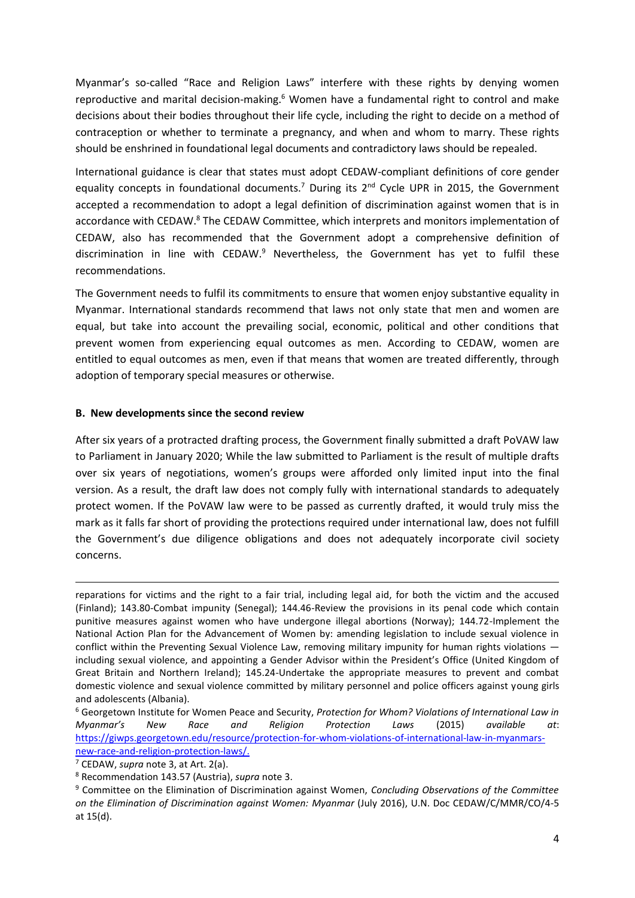Myanmar's so-called "Race and Religion Laws" interfere with these rights by denying women reproductive and marital decision-making.<sup>6</sup> Women have a fundamental right to control and make decisions about their bodies throughout their life cycle, including the right to decide on a method of contraception or whether to terminate a pregnancy, and when and whom to marry. These rights should be enshrined in foundational legal documents and contradictory laws should be repealed.

International guidance is clear that states must adopt CEDAW-compliant definitions of core gender equality concepts in foundational documents.<sup>7</sup> During its  $2<sup>nd</sup>$  Cycle UPR in 2015, the Government accepted a recommendation to adopt a legal definition of discrimination against women that is in accordance with CEDAW.<sup>8</sup> The CEDAW Committee, which interprets and monitors implementation of CEDAW, also has recommended that the Government adopt a comprehensive definition of discrimination in line with  $CEDAW$ .<sup>9</sup> Nevertheless, the Government has yet to fulfil these recommendations.

The Government needs to fulfil its commitments to ensure that women enjoy substantive equality in Myanmar. International standards recommend that laws not only state that men and women are equal, but take into account the prevailing social, economic, political and other conditions that prevent women from experiencing equal outcomes as men. According to CEDAW, women are entitled to equal outcomes as men, even if that means that women are treated differently, through adoption of temporary special measures or otherwise.

#### **B. New developments since the second review**

After six years of a protracted drafting process, the Government finally submitted a draft PoVAW law to Parliament in January 2020; While the law submitted to Parliament is the result of multiple drafts over six years of negotiations, women's groups were afforded only limited input into the final version. As a result, the draft law does not comply fully with international standards to adequately protect women. If the PoVAW law were to be passed as currently drafted, it would truly miss the mark as it falls far short of providing the protections required under international law, does not fulfill the Government's due diligence obligations and does not adequately incorporate civil society concerns.

<sup>6</sup> Georgetown Institute for Women Peace and Security, *Protection for Whom? Violations of International Law in Myanmar's New Race and Religion Protection Laws* (2015) *available at*: [https://giwps.georgetown.edu/resource/protection-for-whom-violations-of-international-law-in-myanmars](https://giwps.georgetown.edu/resource/protection-for-whom-violations-of-international-law-in-myanmars-new-race-and-religion-protection-laws/)[new-race-and-religion-protection-laws/.](https://giwps.georgetown.edu/resource/protection-for-whom-violations-of-international-law-in-myanmars-new-race-and-religion-protection-laws/)

<sup>8</sup> Recommendation 143.57 (Austria), *supra* note 3.

reparations for victims and the right to a fair trial, including legal aid, for both the victim and the accused (Finland); 143.80-Combat impunity (Senegal); 144.46-Review the provisions in its penal code which contain punitive measures against women who have undergone illegal abortions (Norway); 144.72-Implement the National Action Plan for the Advancement of Women by: amending legislation to include sexual violence in conflict within the Preventing Sexual Violence Law, removing military impunity for human rights violations including sexual violence, and appointing a Gender Advisor within the President's Office (United Kingdom of Great Britain and Northern Ireland); 145.24-Undertake the appropriate measures to prevent and combat domestic violence and sexual violence committed by military personnel and police officers against young girls and adolescents (Albania).

<sup>7</sup> CEDAW, *supra* note 3, at Art. 2(a).

<sup>9</sup> Committee on the Elimination of Discrimination against Women, *Concluding Observations of the Committee on the Elimination of Discrimination against Women: Myanmar* (July 2016), U.N. Doc CEDAW/C/MMR/CO/4-5 at 15(d).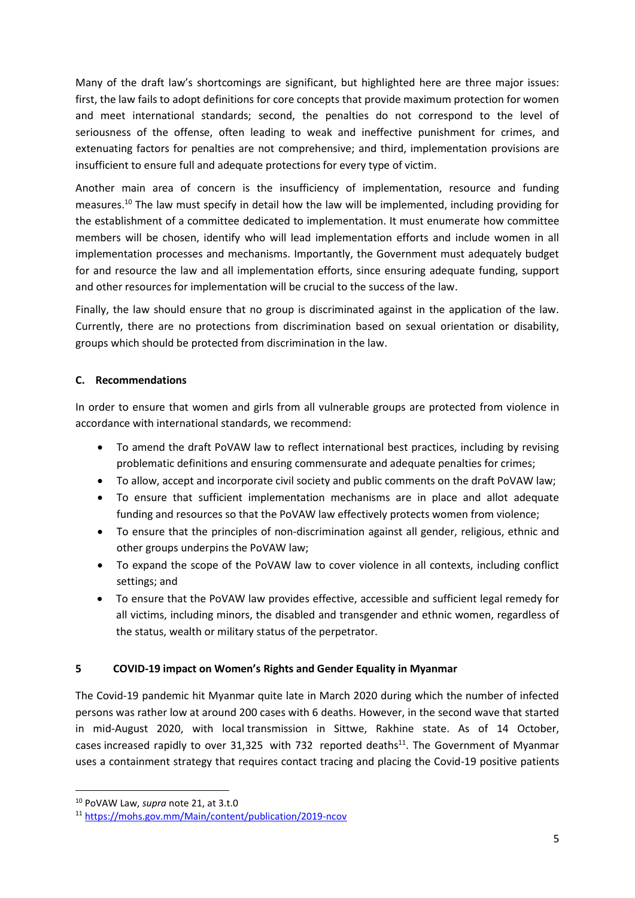Many of the draft law's shortcomings are significant, but highlighted here are three major issues: first, the law fails to adopt definitions for core concepts that provide maximum protection for women and meet international standards; second, the penalties do not correspond to the level of seriousness of the offense, often leading to weak and ineffective punishment for crimes, and extenuating factors for penalties are not comprehensive; and third, implementation provisions are insufficient to ensure full and adequate protections for every type of victim.

Another main area of concern is the insufficiency of implementation, resource and funding measures.<sup>10</sup> The law must specify in detail how the law will be implemented, including providing for the establishment of a committee dedicated to implementation. It must enumerate how committee members will be chosen, identify who will lead implementation efforts and include women in all implementation processes and mechanisms. Importantly, the Government must adequately budget for and resource the law and all implementation efforts, since ensuring adequate funding, support and other resources for implementation will be crucial to the success of the law.

Finally, the law should ensure that no group is discriminated against in the application of the law. Currently, there are no protections from discrimination based on sexual orientation or disability, groups which should be protected from discrimination in the law.

## **C. Recommendations**

In order to ensure that women and girls from all vulnerable groups are protected from violence in accordance with international standards, we recommend:

- To amend the draft PoVAW law to reflect international best practices, including by revising problematic definitions and ensuring commensurate and adequate penalties for crimes;
- To allow, accept and incorporate civil society and public comments on the draft PoVAW law;
- To ensure that sufficient implementation mechanisms are in place and allot adequate funding and resources so that the PoVAW law effectively protects women from violence;
- To ensure that the principles of non-discrimination against all gender, religious, ethnic and other groups underpins the PoVAW law;
- To expand the scope of the PoVAW law to cover violence in all contexts, including conflict settings; and
- To ensure that the PoVAW law provides effective, accessible and sufficient legal remedy for all victims, including minors, the disabled and transgender and ethnic women, regardless of the status, wealth or military status of the perpetrator.

## **5 COVID-19 impact on Women's Rights and Gender Equality in Myanmar**

The Covid-19 pandemic hit Myanmar quite late in March 2020 during which the number of infected persons was rather low at around 200 cases with 6 deaths. However, in the second wave that started in mid-August 2020, with local transmission in Sittwe, Rakhine state. As of 14 October, cases increased rapidly to over 31,325 with 732 reported deaths<sup>11</sup>. The Government of Myanmar uses a containment strategy that requires contact tracing and placing the Covid-19 positive patients

<sup>10</sup> PoVAW Law, *supra* note 21, at 3.t.0

<sup>11</sup> <https://mohs.gov.mm/Main/content/publication/2019-ncov>